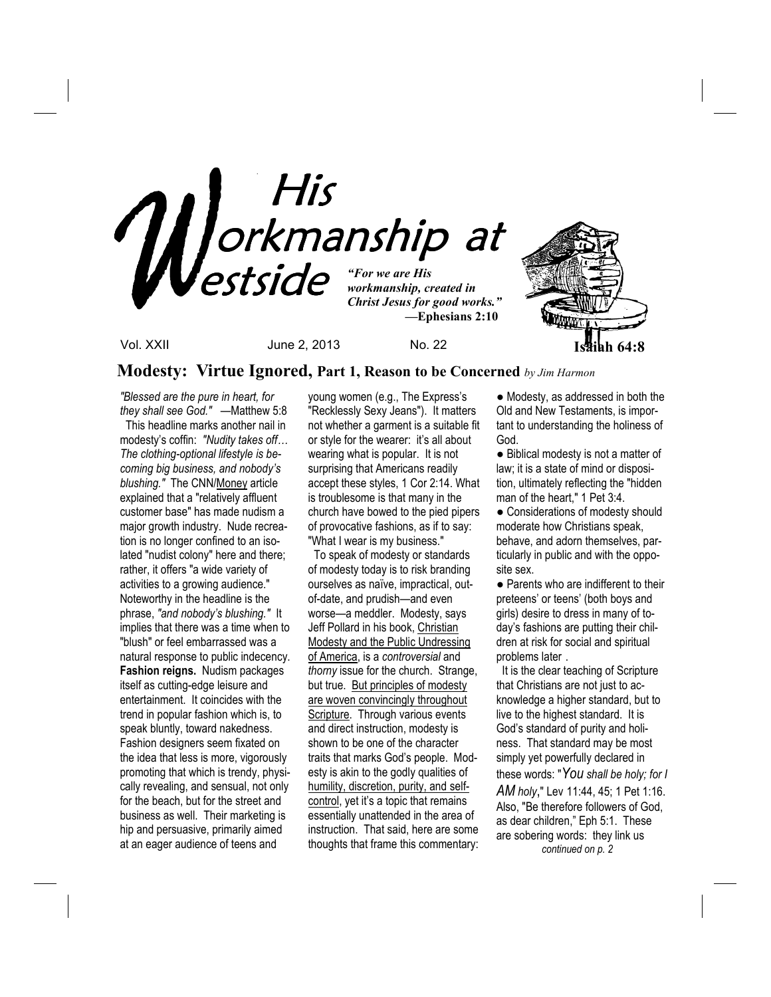

# **Modesty: Virtue Ignored, Part 1, Reason to be Concerned** *by Jim Harmon*

*"Blessed are the pure in heart, for they shall see God." —*Matthew 5:8 This headline marks another nail in modesty's coffin: *"Nudity takes off… The clothing-optional lifestyle is becoming big business, and nobody's blushing."* The CNN/Money article explained that a "relatively affluent customer base" has made nudism a major growth industry. Nude recreation is no longer confined to an isolated "nudist colony" here and there; rather, it offers "a wide variety of activities to a growing audience." Noteworthy in the headline is the phrase, *"and nobody's blushing."* It implies that there was a time when to "blush" or feel embarrassed was a natural response to public indecency. **Fashion reigns.** Nudism packages itself as cutting-edge leisure and entertainment. It coincides with the trend in popular fashion which is, to speak bluntly, toward nakedness. Fashion designers seem fixated on the idea that less is more, vigorously promoting that which is trendy, physically revealing, and sensual, not only for the beach, but for the street and business as well. Their marketing is hip and persuasive, primarily aimed at an eager audience of teens and

young women (e.g., The Express's "Recklessly Sexy Jeans"). It matters not whether a garment is a suitable fit or style for the wearer: it's all about wearing what is popular. It is not surprising that Americans readily accept these styles, 1 Cor 2:14. What is troublesome is that many in the church have bowed to the pied pipers of provocative fashions, as if to say: "What I wear is my business."

 To speak of modesty or standards of modesty today is to risk branding ourselves as naïve, impractical, outof-date, and prudish—and even worse—a meddler. Modesty, says Jeff Pollard in his book, Christian Modesty and the Public Undressing of America, is a *controversial* and *thorny* issue for the church. Strange, but true. But principles of modesty are woven convincingly throughout Scripture. Through various events and direct instruction, modesty is shown to be one of the character traits that marks God's people. Modesty is akin to the godly qualities of humility, discretion, purity, and selfcontrol, yet it's a topic that remains essentially unattended in the area of instruction. That said, here are some thoughts that frame this commentary:

● Modesty, as addressed in both the Old and New Testaments, is important to understanding the holiness of God.

● Biblical modesty is not a matter of law; it is a state of mind or disposition, ultimately reflecting the "hidden man of the heart," 1 Pet 3:4.

● Considerations of modesty should moderate how Christians speak, behave, and adorn themselves, particularly in public and with the opposite sex.

● Parents who are indifferent to their preteens' or teens' (both boys and girls) desire to dress in many of today's fashions are putting their children at risk for social and spiritual problems later .

 It is the clear teaching of Scripture that Christians are not just to acknowledge a higher standard, but to live to the highest standard. It is God's standard of purity and holiness. That standard may be most simply yet powerfully declared in these words: "*You shall be holy; for I AM holy*," Lev 11:44, 45; 1 Pet 1:16. Also, "Be therefore followers of God, as dear children," Eph 5:1. These are sobering words: they link us  *continued on p. 2*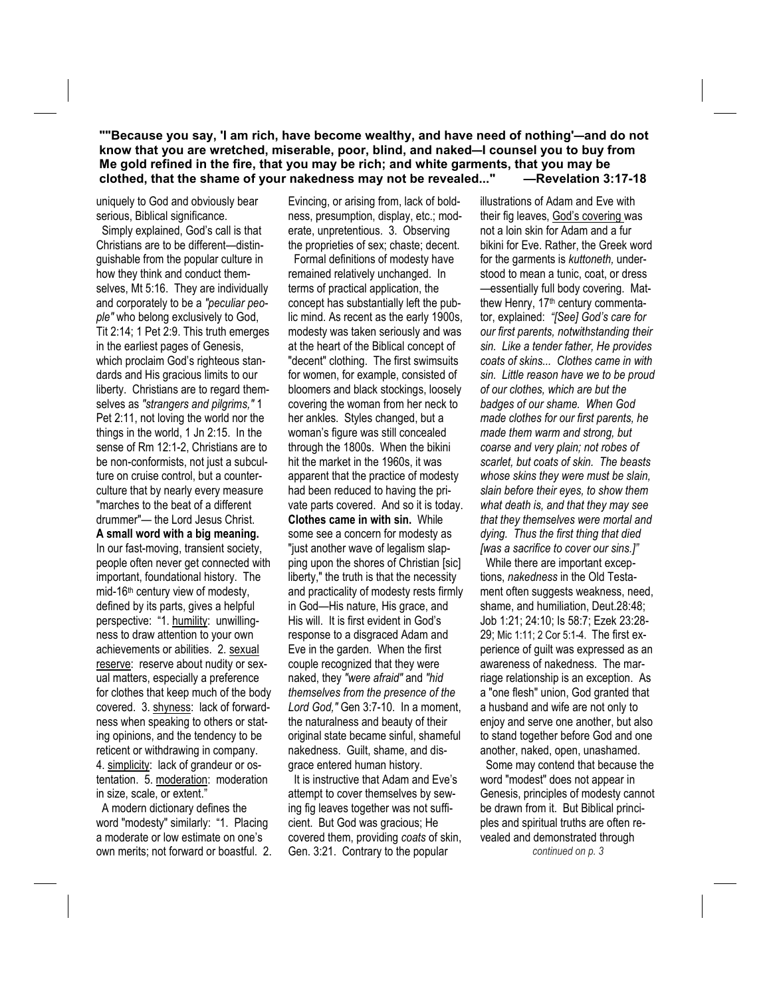**""Because you say, 'I am rich, have become wealthy, and have need of nothing'—and do not know that you are wretched, miserable, poor, blind, and naked—I counsel you to buy from Me gold refined in the fire, that you may be rich; and white garments, that you may be clothed, that the shame of your nakedness may not be revealed..." —Revelation 3:17-18** 

uniquely to God and obviously bear serious, Biblical significance.

 Simply explained, God's call is that Christians are to be different—distinguishable from the popular culture in how they think and conduct themselves, Mt 5:16. They are individually and corporately to be a *"peculiar people"* who belong exclusively to God, Tit 2:14; 1 Pet 2:9. This truth emerges in the earliest pages of Genesis, which proclaim God's righteous standards and His gracious limits to our liberty. Christians are to regard themselves as *"strangers and pilgrims,"* 1 Pet 2:11, not loving the world nor the things in the world, 1 Jn 2:15. In the sense of Rm 12:1-2, Christians are to be non-conformists, not just a subculture on cruise control, but a counterculture that by nearly every measure "marches to the beat of a different drummer"— the Lord Jesus Christ. **A small word with a big meaning.**  In our fast-moving, transient society, people often never get connected with important, foundational history. The mid-16<sup>th</sup> century view of modesty, defined by its parts, gives a helpful perspective: "1. humility: unwillingness to draw attention to your own achievements or abilities. 2. sexual reserve: reserve about nudity or sexual matters, especially a preference for clothes that keep much of the body covered. 3. shyness: lack of forwardness when speaking to others or stating opinions, and the tendency to be reticent or withdrawing in company. 4. simplicity: lack of grandeur or ostentation. 5. moderation: moderation in size, scale, or extent."

 A modern dictionary defines the word "modesty" similarly: "1. Placing a moderate or low estimate on one's own merits; not forward or boastful. 2. Evincing, or arising from, lack of boldness, presumption, display, etc.; moderate, unpretentious. 3. Observing the proprieties of sex; chaste; decent. Formal definitions of modesty have remained relatively unchanged. In terms of practical application, the concept has substantially left the public mind. As recent as the early 1900s, modesty was taken seriously and was at the heart of the Biblical concept of "decent" clothing. The first swimsuits for women, for example, consisted of bloomers and black stockings, loosely covering the woman from her neck to her ankles. Styles changed, but a woman's figure was still concealed through the 1800s. When the bikini hit the market in the 1960s, it was apparent that the practice of modesty had been reduced to having the private parts covered. And so it is today. **Clothes came in with sin.** While some see a concern for modesty as "just another wave of legalism slapping upon the shores of Christian [sic] liberty," the truth is that the necessity and practicality of modesty rests firmly in God—His nature, His grace, and His will. It is first evident in God's response to a disgraced Adam and Eve in the garden. When the first couple recognized that they were naked, they *"were afraid"* and *"hid themselves from the presence of the Lord God,"* Gen 3:7-10. In a moment, the naturalness and beauty of their original state became sinful, shameful nakedness. Guilt, shame, and disgrace entered human history.

 It is instructive that Adam and Eve's attempt to cover themselves by sewing fig leaves together was not sufficient. But God was gracious; He covered them, providing *coats* of skin, Gen. 3:21. Contrary to the popular

illustrations of Adam and Eve with their fig leaves, God's covering was not a loin skin for Adam and a fur bikini for Eve. Rather, the Greek word for the garments is *kuttoneth,* understood to mean a tunic, coat, or dress —essentially full body covering. Matthew Henry, 17<sup>th</sup> century commentator, explained: *"[See] God's care for our first parents, notwithstanding their sin. Like a tender father, He provides coats of skins... Clothes came in with sin. Little reason have we to be proud of our clothes, which are but the badges of our shame. When God made clothes for our first parents, he made them warm and strong, but coarse and very plain; not robes of scarlet, but coats of skin. The beasts whose skins they were must be slain, slain before their eyes, to show them what death is, and that they may see that they themselves were mortal and dying. Thus the first thing that died [was a sacrifice to cover our sins.]"* 

 While there are important exceptions, *nakedness* in the Old Testament often suggests weakness, need, shame, and humiliation, Deut.28:48; Job 1:21; 24:10; Is 58:7; Ezek 23:28- 29; Mic 1:11; 2 Cor 5:1-4. The first experience of guilt was expressed as an awareness of nakedness. The marriage relationship is an exception. As a "one flesh" union, God granted that a husband and wife are not only to enjoy and serve one another, but also to stand together before God and one another, naked, open, unashamed.

 Some may contend that because the word "modest" does not appear in Genesis, principles of modesty cannot be drawn from it. But Biblical principles and spiritual truths are often revealed and demonstrated through

*continued on p. 3*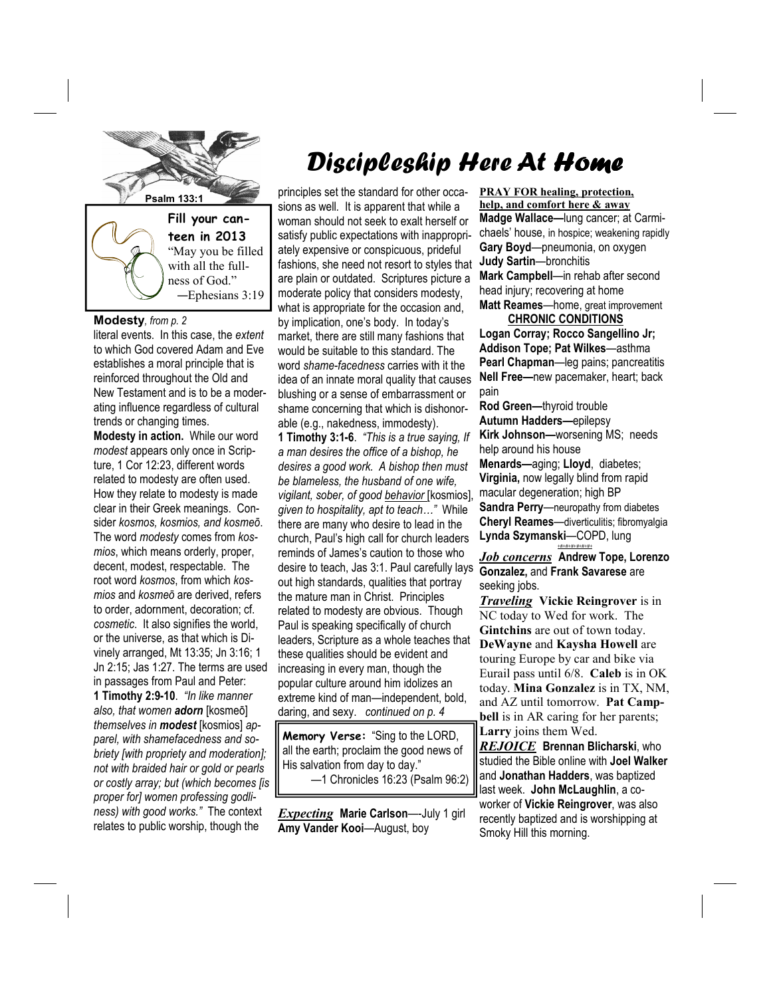

"May you be filled with all the fullness of God." —Ephesians 3:19

## **Modesty***, from p. 2*

literal events. In this case, the *extent* to which God covered Adam and Eve establishes a moral principle that is reinforced throughout the Old and New Testament and is to be a moderating influence regardless of cultural trends or changing times. **Modesty in action.** While our word *modest* appears only once in Scripture, 1 Cor 12:23, different words related to modesty are often used. How they relate to modesty is made clear in their Greek meanings. Consider *kosmos, kosmios, and kosmeō*. The word *modesty* comes from *kosmios*, which means orderly, proper, decent, modest, respectable. The root word *kosmos*, from which *kosmios* and *kosmeō* are derived, refers to order, adornment, decoration; cf. *cosmetic*. It also signifies the world, or the universe, as that which is Divinely arranged, Mt 13:35; Jn 3:16; 1 Jn 2:15; Jas 1:27. The terms are used in passages from Paul and Peter: **1 Timothy 2:9-10**. *"In like manner also, that women adorn* [kosmeō] *themselves in modest* [kosmios] *apparel, with shamefacedness and sobriety [with propriety and moderation]; not with braided hair or gold or pearls or costly array; but (which becomes [is proper for] women professing godliness) with good works."* The context relates to public worship, though the

# Discipleship Here At Home

**Psalm 133:1 principles set the standard for other occa**sions as well*.* It is apparent that while a woman should not seek to exalt herself or satisfy public expectations with inappropriately expensive or conspicuous, prideful fashions, she need not resort to styles that are plain or outdated. Scriptures picture a moderate policy that considers modesty, what is appropriate for the occasion and, by implication, one's body. In today's market, there are still many fashions that would be suitable to this standard. The word *shame-facedness* carries with it the idea of an innate moral quality that causes blushing or a sense of embarrassment or shame concerning that which is dishonorable (e.g., nakedness, immodesty). **1 Timothy 3:1-6**. *"This is a true saying, If a man desires the office of a bishop, he desires a good work. A bishop then must be blameless, the husband of one wife, vigilant, sober, of good behavior* [kosmios], *given to hospitality, apt to teach…"* While there are many who desire to lead in the church, Paul's high call for church leaders reminds of James's caution to those who desire to teach, Jas 3:1. Paul carefully lays out high standards, qualities that portray the mature man in Christ. Principles related to modesty are obvious. Though Paul is speaking specifically of church leaders, Scripture as a whole teaches that these qualities should be evident and increasing in every man, though the popular culture around him idolizes an extreme kind of man—independent, bold, daring, and sexy. *continued on p. 4* 

> **Memory Verse:** "Sing to the LORD, all the earth; proclaim the good news of His salvation from day to day." —1 Chronicles 16:23 (Psalm 96:2)

*Expecting* **Marie Carlson**—-July 1 girl **Amy Vander Kooi**—August, boy

**PRAY FOR healing, protection, help, and comfort here & away Madge Wallace—**lung cancer; at Carmichaels' house, in hospice; weakening rapidly **Gary Boyd**—pneumonia, on oxygen **Judy Sartin**—bronchitis **Mark Campbell**—in rehab after second head injury; recovering at home **Matt Reames**—home, great improvement

#### **CHRONIC CONDITIONS**

**Logan Corray; Rocco Sangellino Jr; Addison Tope; Pat Wilkes**—asthma **Pearl Chapman**—leg pains; pancreatitis **Nell Free—**new pacemaker, heart; back pain

**Rod Green—**thyroid trouble **Autumn Hadders—**epilepsy **Kirk Johnson—**worsening MS; needs help around his house **Menards—**aging; **Lloyd**, diabetes; **Virginia,** now legally blind from rapid macular degeneration; high BP **Sandra Perry**—neuropathy from diabetes **Cheryl Reames**—diverticulitis; fibromyalgia **Lynda Szymanski**—COPD, lung *+#+#+#+#+#+#+*

*Job concerns* **Andrew Tope, Lorenzo Gonzalez,** and **Frank Savarese** are seeking jobs.

*Traveling* **Vickie Reingrover** is in NC today to Wed for work. The **Gintchins** are out of town today. **DeWayne** and **Kaysha Howell** are touring Europe by car and bike via Eurail pass until 6/8. **Caleb** is in OK today. **Mina Gonzalez** is in TX, NM, and AZ until tomorrow. **Pat Campbell** is in AR caring for her parents; **Larry** joins them Wed.

*REJOICE* **Brennan Blicharski**, who studied the Bible online with **Joel Walker**  and **Jonathan Hadders**, was baptized last week. **John McLaughlin**, a coworker of **Vickie Reingrover**, was also recently baptized and is worshipping at Smoky Hill this morning.